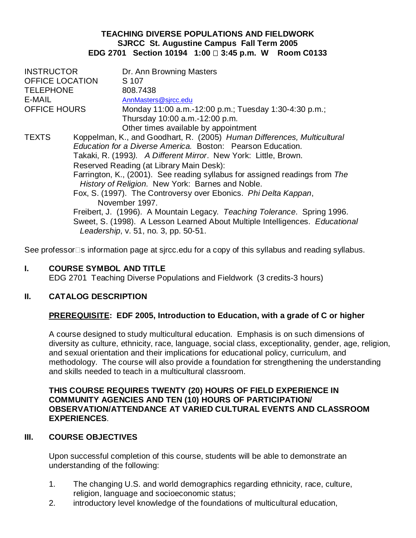### **TEACHING DIVERSE POPULATIONS AND FIELDWORK SJRCC St. Augustine Campus Fall Term 2005 EDG 2701 Section 10194 1:00 □ 3:45 p.m. W Room C0133**

| <b>INSTRUCTOR</b>      |                                                                             | Dr. Ann Browning Masters                                                                                             |  |
|------------------------|-----------------------------------------------------------------------------|----------------------------------------------------------------------------------------------------------------------|--|
| <b>OFFICE LOCATION</b> |                                                                             | S 107                                                                                                                |  |
| <b>TELEPHONE</b>       |                                                                             | 808.7438                                                                                                             |  |
| E-MAIL                 |                                                                             | AnnMasters@sjrcc.edu                                                                                                 |  |
| <b>OFFICE HOURS</b>    |                                                                             | Monday 11:00 a.m.-12:00 p.m.; Tuesday 1:30-4:30 p.m.;                                                                |  |
|                        |                                                                             | Thursday 10:00 a.m.-12:00 p.m.                                                                                       |  |
|                        |                                                                             | Other times available by appointment                                                                                 |  |
| <b>TEXTS</b>           |                                                                             | Koppelman, K., and Goodhart, R. (2005) Human Differences, Multicultural                                              |  |
|                        | <i>Education for a Diverse America. Boston: Pearson Education.</i>          |                                                                                                                      |  |
|                        | Takaki, R. (1993). A Different Mirror. New York: Little, Brown.             |                                                                                                                      |  |
|                        | Reserved Reading (at Library Main Desk):                                    |                                                                                                                      |  |
|                        | Farrington, K., (2001). See reading syllabus for assigned readings from The |                                                                                                                      |  |
|                        | History of Religion. New York: Barnes and Noble.                            |                                                                                                                      |  |
|                        | Fox, S. (1997). The Controversy over Ebonics. Phi Delta Kappan,             |                                                                                                                      |  |
|                        |                                                                             | November 1997.                                                                                                       |  |
|                        |                                                                             | Freibert, J. (1996). A Mountain Legacy. Teaching Tolerance. Spring 1996.                                             |  |
|                        |                                                                             | Sweet, S. (1998). A Lesson Learned About Multiple Intelligences. Educational<br>Leadership, v. 51, no. 3, pp. 50-51. |  |

See professor $\Box$ s information page at sjrcc.edu for a copy of this syllabus and reading syllabus.

### **I. COURSE SYMBOL AND TITLE**

EDG 2701 Teaching Diverse Populations and Fieldwork (3 credits-3 hours)

### **II. CATALOG DESCRIPTION**

### **PREREQUISITE: EDF 2005, Introduction to Education, with a grade of C or higher**

A course designed to study multicultural education. Emphasis is on such dimensions of diversity as culture, ethnicity, race, language, social class, exceptionality, gender, age, religion, and sexual orientation and their implications for educational policy, curriculum, and methodology. The course will also provide a foundation for strengthening the understanding and skills needed to teach in a multicultural classroom.

### **THIS COURSE REQUIRES TWENTY (20) HOURS OF FIELD EXPERIENCE IN COMMUNITY AGENCIES AND TEN (10) HOURS OF PARTICIPATION/ OBSERVATION/ATTENDANCE AT VARIED CULTURAL EVENTS AND CLASSROOM EXPERIENCES**.

### **III. COURSE OBJECTIVES**

Upon successful completion of this course, students will be able to demonstrate an understanding of the following:

- 1. The changing U.S. and world demographics regarding ethnicity, race, culture, religion, language and socioeconomic status;
- 2. introductory level knowledge of the foundations of multicultural education,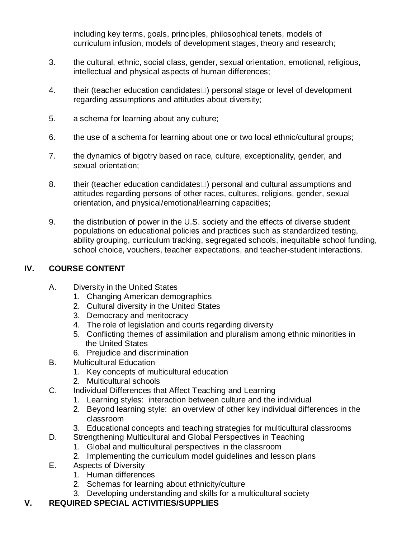including key terms, goals, principles, philosophical tenets, models of curriculum infusion, models of development stages, theory and research;

- 3. the cultural, ethnic, social class, gender, sexual orientation, emotional, religious, intellectual and physical aspects of human differences;
- 4. their (teacher education candidates $\square$ ) personal stage or level of development regarding assumptions and attitudes about diversity;
- 5. a schema for learning about any culture;
- 6. the use of a schema for learning about one or two local ethnic/cultural groups;
- 7. the dynamics of bigotry based on race, culture, exceptionality, gender, and sexual orientation;
- 8. their (teacher education candidates<sup>[1]</sup>) personal and cultural assumptions and attitudes regarding persons of other races, cultures, religions, gender, sexual orientation, and physical/emotional/learning capacities;
- 9. the distribution of power in the U.S. society and the effects of diverse student populations on educational policies and practices such as standardized testing, ability grouping, curriculum tracking, segregated schools, inequitable school funding, school choice, vouchers, teacher expectations, and teacher-student interactions.

# **IV. COURSE CONTENT**

- A. Diversity in the United States
	- 1. Changing American demographics
	- 2. Cultural diversity in the United States
	- 3. Democracy and meritocracy
	- 4. The role of legislation and courts regarding diversity
	- 5. Conflicting themes of assimilation and pluralism among ethnic minorities in the United States
	- 6. Prejudice and discrimination
- B. Multicultural Education
	- 1. Key concepts of multicultural education
	- 2. Multicultural schools
- C. Individual Differences that Affect Teaching and Learning
	- 1. Learning styles: interaction between culture and the individual
	- 2. Beyond learning style: an overview of other key individual differences in the classroom
	- 3. Educational concepts and teaching strategies for multicultural classrooms
- D. Strengthening Multicultural and Global Perspectives in Teaching
	- 1. Global and multicultural perspectives in the classroom
	- 2. Implementing the curriculum model guidelines and lesson plans
- E. Aspects of Diversity
	- 1. Human differences
	- 2. Schemas for learning about ethnicity/culture
	- 3. Developing understanding and skills for a multicultural society

# **V. REQUIRED SPECIAL ACTIVITIES/SUPPLIES**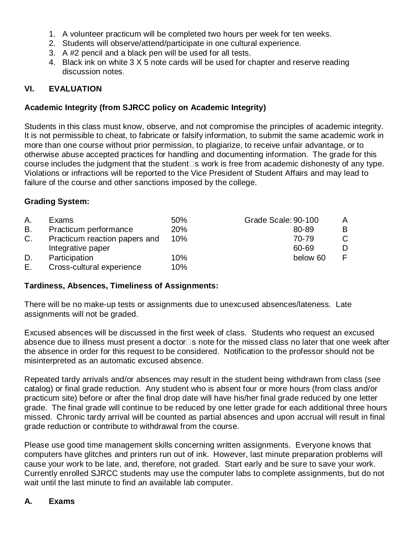- 1. A volunteer practicum will be completed two hours per week for ten weeks.
- 2. Students will observe/attend/participate in one cultural experience.
- 3. A #2 pencil and a black pen will be used for all tests.
- 4. Black ink on white 3 X 5 note cards will be used for chapter and reserve reading discussion notes.

# **VI. EVALUATION**

# **Academic Integrity (from SJRCC policy on Academic Integrity)**

Students in this class must know, observe, and not compromise the principles of academic integrity. It is not permissible to cheat, to fabricate or falsify information, to submit the same academic work in more than one course without prior permission, to plagiarize, to receive unfair advantage, or to otherwise abuse accepted practices for handling and documenting information. The grade for this course includes the judgment that the student $\square$ s work is free from academic dishonesty of any type. Violations or infractions will be reported to the Vice President of Student Affairs and may lead to failure of the course and other sanctions imposed by the college.

# **Grading System:**

| А. | Exams                         | 50% | Grade Scale: 90-100 | A |
|----|-------------------------------|-----|---------------------|---|
| В. | Practicum performance         | 20% | 80-89               | B |
| C. | Practicum reaction papers and | 10% | 70-79               |   |
|    | Integrative paper             |     | 60-69               | D |
| D. | Participation                 | 10% | below 60            |   |
| Е. | Cross-cultural experience     | 10% |                     |   |

# **Tardiness, Absences, Timeliness of Assignments:**

There will be no make-up tests or assignments due to unexcused absences/lateness. Late assignments will not be graded.

Excused absences will be discussed in the first week of class. Students who request an excused absence due to illness must present a doctor $\square$ s note for the missed class no later that one week after the absence in order for this request to be considered. Notification to the professor should not be misinterpreted as an automatic excused absence.

Repeated tardy arrivals and/or absences may result in the student being withdrawn from class (see catalog) or final grade reduction. Any student who is absent four or more hours (from class and/or practicum site) before or after the final drop date will have his/her final grade reduced by one letter grade. The final grade will continue to be reduced by one letter grade for each additional three hours missed. Chronic tardy arrival will be counted as partial absences and upon accrual will result in final grade reduction or contribute to withdrawal from the course.

Please use good time management skills concerning written assignments. Everyone knows that computers have glitches and printers run out of ink. However, last minute preparation problems will cause your work to be late, and, therefore, not graded. Start early and be sure to save your work. Currently enrolled SJRCC students may use the computer labs to complete assignments, but do not wait until the last minute to find an available lab computer.

# **A. Exams**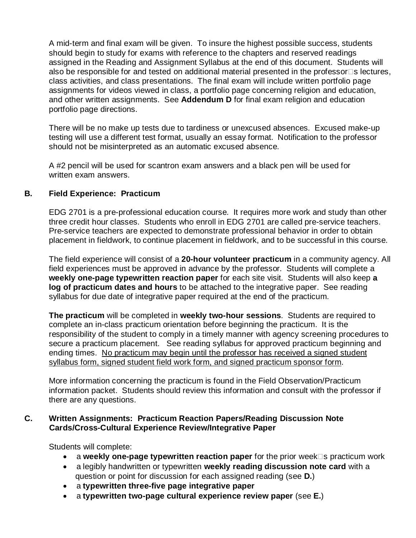A mid-term and final exam will be given. To insure the highest possible success, students should begin to study for exams with reference to the chapters and reserved readings assigned in the Reading and Assignment Syllabus at the end of this document. Students will also be responsible for and tested on additional material presented in the professor $\square$ s lectures, class activities, and class presentations. The final exam will include written portfolio page assignments for videos viewed in class, a portfolio page concerning religion and education, and other written assignments. See **Addendum D** for final exam religion and education portfolio page directions.

There will be no make up tests due to tardiness or unexcused absences. Excused make-up testing will use a different test format, usually an essay format. Notification to the professor should not be misinterpreted as an automatic excused absence.

A #2 pencil will be used for scantron exam answers and a black pen will be used for written exam answers.

### **B. Field Experience: Practicum**

EDG 2701 is a pre-professional education course. It requires more work and study than other three credit hour classes. Students who enroll in EDG 2701 are called pre-service teachers. Pre-service teachers are expected to demonstrate professional behavior in order to obtain placement in fieldwork, to continue placement in fieldwork, and to be successful in this course.

The field experience will consist of a **20-hour volunteer practicum** in a community agency. All field experiences must be approved in advance by the professor. Students will complete a **weekly one-page typewritten reaction paper** for each site visit. Students will also keep **a log of practicum dates and hours** to be attached to the integrative paper. See reading syllabus for due date of integrative paper required at the end of the practicum.

**The practicum** will be completed in **weekly two-hour sessions**. Students are required to complete an in-class practicum orientation before beginning the practicum. It is the responsibility of the student to comply in a timely manner with agency screening procedures to secure a practicum placement. See reading syllabus for approved practicum beginning and ending times. No practicum may begin until the professor has received a signed student syllabus form, signed student field work form, and signed practicum sponsor form.

More information concerning the practicum is found in the Field Observation/Practicum information packet. Students should review this information and consult with the professor if there are any questions.

### **C. Written Assignments: Practicum Reaction Papers/Reading Discussion Note Cards/Cross-Cultural Experience Review/Integrative Paper**

Students will complete:

- a weekly one-page typewritten reaction paper for the prior week<sup>n</sup>s practicum work
- a legibly handwritten or typewritten **weekly reading discussion note card** with a question or point for discussion for each assigned reading (see **D.**)
- a **typewritten three-five page integrative paper**
- a **typewritten two-page cultural experience review paper** (see **E.**)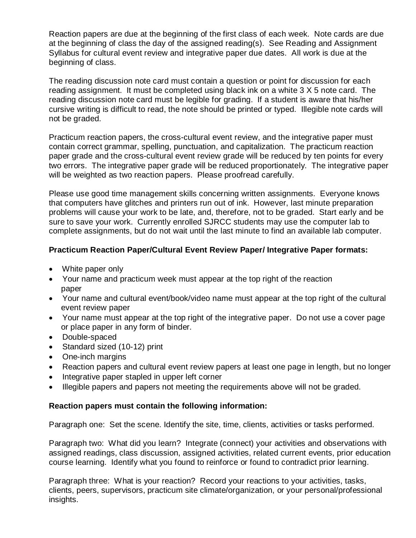Reaction papers are due at the beginning of the first class of each week. Note cards are due at the beginning of class the day of the assigned reading(s). See Reading and Assignment Syllabus for cultural event review and integrative paper due dates. All work is due at the beginning of class.

The reading discussion note card must contain a question or point for discussion for each reading assignment. It must be completed using black ink on a white 3 X 5 note card. The reading discussion note card must be legible for grading. If a student is aware that his/her cursive writing is difficult to read, the note should be printed or typed. Illegible note cards will not be graded.

Practicum reaction papers, the cross-cultural event review, and the integrative paper must contain correct grammar, spelling, punctuation, and capitalization. The practicum reaction paper grade and the cross-cultural event review grade will be reduced by ten points for every two errors. The integrative paper grade will be reduced proportionately. The integrative paper will be weighted as two reaction papers. Please proofread carefully.

Please use good time management skills concerning written assignments. Everyone knows that computers have glitches and printers run out of ink. However, last minute preparation problems will cause your work to be late, and, therefore, not to be graded. Start early and be sure to save your work. Currently enrolled SJRCC students may use the computer lab to complete assignments, but do not wait until the last minute to find an available lab computer.

### **Practicum Reaction Paper/Cultural Event Review Paper/ Integrative Paper formats:**

- White paper only
- Your name and practicum week must appear at the top right of the reaction paper
- Your name and cultural event/book/video name must appear at the top right of the cultural event review paper
- Your name must appear at the top right of the integrative paper. Do not use a cover page or place paper in any form of binder.
- Double-spaced
- Standard sized (10-12) print
- One-inch margins
- Reaction papers and cultural event review papers at least one page in length, but no longer
- Integrative paper stapled in upper left corner
- Illegible papers and papers not meeting the requirements above will not be graded.

### **Reaction papers must contain the following information:**

Paragraph one: Set the scene. Identify the site, time, clients, activities or tasks performed.

Paragraph two: What did you learn? Integrate (connect) your activities and observations with assigned readings, class discussion, assigned activities, related current events, prior education course learning. Identify what you found to reinforce or found to contradict prior learning.

Paragraph three: What is your reaction? Record your reactions to your activities, tasks, clients, peers, supervisors, practicum site climate/organization, or your personal/professional insights.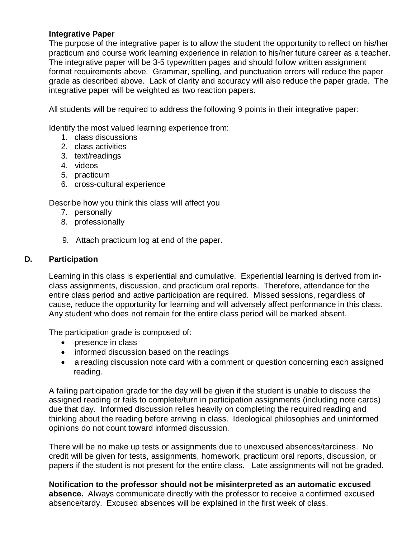### **Integrative Paper**

The purpose of the integrative paper is to allow the student the opportunity to reflect on his/her practicum and course work learning experience in relation to his/her future career as a teacher. The integrative paper will be 3-5 typewritten pages and should follow written assignment format requirements above. Grammar, spelling, and punctuation errors will reduce the paper grade as described above. Lack of clarity and accuracy will also reduce the paper grade. The integrative paper will be weighted as two reaction papers.

All students will be required to address the following 9 points in their integrative paper:

Identify the most valued learning experience from:

- 1. class discussions
- 2. class activities
- 3. text/readings
- 4. videos
- 5. practicum
- 6. cross-cultural experience

Describe how you think this class will affect you

- 7. personally
- 8. professionally
- 9. Attach practicum log at end of the paper.

### **D. Participation**

Learning in this class is experiential and cumulative. Experiential learning is derived from inclass assignments, discussion, and practicum oral reports. Therefore, attendance for the entire class period and active participation are required. Missed sessions, regardless of cause, reduce the opportunity for learning and will adversely affect performance in this class. Any student who does not remain for the entire class period will be marked absent.

The participation grade is composed of:

- presence in class
- informed discussion based on the readings
- a reading discussion note card with a comment or question concerning each assigned reading.

A failing participation grade for the day will be given if the student is unable to discuss the assigned reading or fails to complete/turn in participation assignments (including note cards) due that day. Informed discussion relies heavily on completing the required reading and thinking about the reading before arriving in class. Ideological philosophies and uninformed opinions do not count toward informed discussion.

There will be no make up tests or assignments due to unexcused absences/tardiness. No credit will be given for tests, assignments, homework, practicum oral reports, discussion, or papers if the student is not present for the entire class. Late assignments will not be graded.

**Notification to the professor should not be misinterpreted as an automatic excused absence.** Always communicate directly with the professor to receive a confirmed excused absence/tardy. Excused absences will be explained in the first week of class.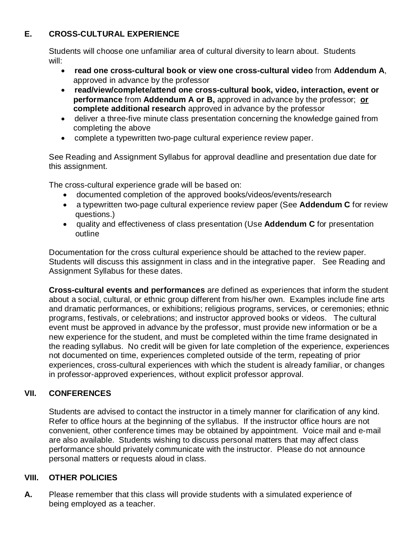# **E. CROSS-CULTURAL EXPERIENCE**

Students will choose one unfamiliar area of cultural diversity to learn about. Students will:

- **read one cross-cultural book or view one cross-cultural video** from **Addendum A**, approved in advance by the professor
- **read/view/complete/attend one cross-cultural book, video, interaction, event or performance** from **Addendum A or B,** approved in advance by the professor; **or complete additional research** approved in advance by the professor
- deliver a three-five minute class presentation concerning the knowledge gained from completing the above
- complete a typewritten two-page cultural experience review paper.

See Reading and Assignment Syllabus for approval deadline and presentation due date for this assignment.

The cross-cultural experience grade will be based on:

- documented completion of the approved books/videos/events/research
- a typewritten two-page cultural experience review paper (See **Addendum C** for review questions.)
- quality and effectiveness of class presentation (Use **Addendum C** for presentation outline

Documentation for the cross cultural experience should be attached to the review paper. Students will discuss this assignment in class and in the integrative paper. See Reading and Assignment Syllabus for these dates.

**Cross-cultural events and performances** are defined as experiences that inform the student about a social, cultural, or ethnic group different from his/her own. Examples include fine arts and dramatic performances, or exhibitions; religious programs, services, or ceremonies; ethnic programs, festivals, or celebrations; and instructor approved books or videos. The cultural event must be approved in advance by the professor, must provide new information or be a new experience for the student, and must be completed within the time frame designated in the reading syllabus. No credit will be given for late completion of the experience, experiences not documented on time, experiences completed outside of the term, repeating of prior experiences, cross-cultural experiences with which the student is already familiar, or changes in professor-approved experiences, without explicit professor approval.

# **VII. CONFERENCES**

Students are advised to contact the instructor in a timely manner for clarification of any kind. Refer to office hours at the beginning of the syllabus. If the instructor office hours are not convenient, other conference times may be obtained by appointment. Voice mail and e-mail are also available. Students wishing to discuss personal matters that may affect class performance should privately communicate with the instructor. Please do not announce personal matters or requests aloud in class.

# **VIII. OTHER POLICIES**

**A.** Please remember that this class will provide students with a simulated experience of being employed as a teacher.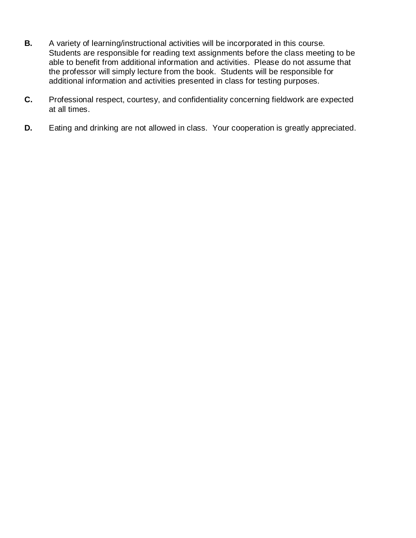- **B.** A variety of learning/instructional activities will be incorporated in this course. Students are responsible for reading text assignments before the class meeting to be able to benefit from additional information and activities. Please do not assume that the professor will simply lecture from the book. Students will be responsible for additional information and activities presented in class for testing purposes.
- **C.** Professional respect, courtesy, and confidentiality concerning fieldwork are expected at all times.
- **D.** Eating and drinking are not allowed in class. Your cooperation is greatly appreciated.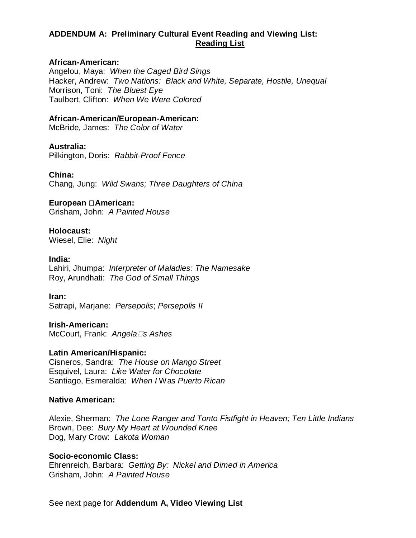# **ADDENDUM A: Preliminary Cultural Event Reading and Viewing List: Reading List**

#### **African-American:**

Angelou, Maya: *When the Caged Bird Sings* Hacker, Andrew: *Two Nations: Black and White, Separate, Hostile, Unequal* Morrison, Toni: *The Bluest Eye* Taulbert, Clifton: *When We Were Colored*

#### **African-American/European-American:**

McBride, James: *The Color of Water*

#### **Australia:**

Pilkington, Doris: *Rabbit-Proof Fence*

#### **China:**

Chang, Jung: *Wild Swans; Three Daughters of China*

# **European American:**

Grisham, John: *A Painted House*

# **Holocaust:**

Wiesel, Elie: *Night*

#### **India:**

Lahiri, Jhumpa: *Interpreter of Maladies: The Namesake* Roy, Arundhati: *The God of Small Things*

#### **Iran:**

Satrapi, Marjane: *Persepolis*; *Persepolis II*

#### **Irish-American:** McCourt, Frank: *Angelas Ashes*

#### **Latin American/Hispanic:**

Cisneros, Sandra: *The House on Mango Street* Esquivel, Laura: *Like Water for Chocolate* Santiago, Esmeralda: *When I* Was *Puerto Rican*

#### **Native American:**

Alexie, Sherman: *The Lone Ranger and Tonto Fistfight in Heaven; Ten Little Indians* Brown, Dee: *Bury My Heart at Wounded Knee* Dog, Mary Crow: *Lakota Woman*

#### **Socio-economic Class:**

Ehrenreich, Barbara: *Getting By: Nickel and Dimed in America* Grisham, John: *A Painted House*

See next page for **Addendum A, Video Viewing List**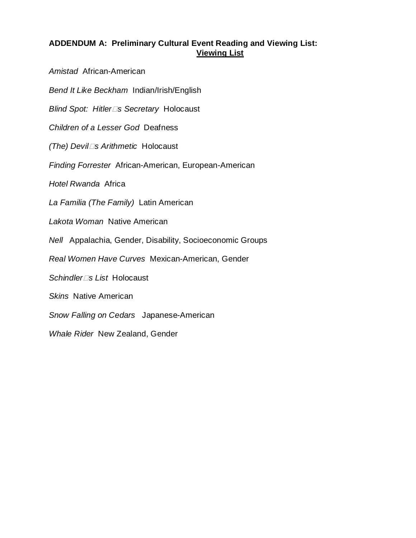### **ADDENDUM A: Preliminary Cultural Event Reading and Viewing List: Viewing List**

*Amistad* African-American

*Bend It Like Beckham* Indian/Irish/English

*Blind Spot: Hitlers Secretary* Holocaust

*Children of a Lesser God* Deafness

*(The) Devils Arithmetic* Holocaust

*Finding Forrester* African-American, European-American

*Hotel Rwanda* Africa

*La Familia (The Family)* Latin American

*Lakota Woman* Native American

*Nell* Appalachia, Gender, Disability, Socioeconomic Groups

*Real Women Have Curves* Mexican-American, Gender

*Schindlers List* Holocaust

*Skins* Native American

*Snow Falling on Cedars* Japanese-American

*Whale Rider* New Zealand, Gender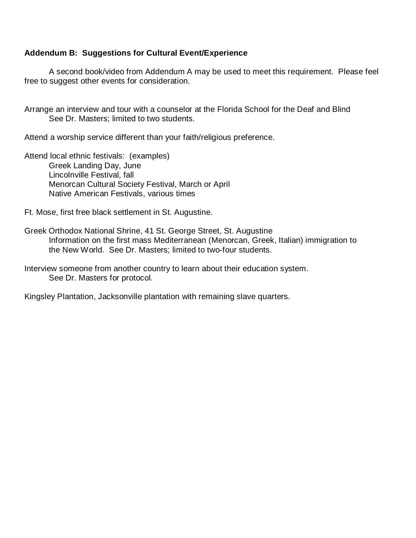### **Addendum B: Suggestions for Cultural Event/Experience**

A second book/video from Addendum A may be used to meet this requirement. Please feel free to suggest other events for consideration.

Arrange an interview and tour with a counselor at the Florida School for the Deaf and Blind See Dr. Masters; limited to two students.

Attend a worship service different than your faith/religious preference.

Attend local ethnic festivals: (examples) Greek Landing Day, June Lincolnville Festival, fall Menorcan Cultural Society Festival, March or April Native American Festivals, various times

Ft. Mose, first free black settlement in St. Augustine.

Greek Orthodox National Shrine, 41 St. George Street, St. Augustine Information on the first mass Mediterranean (Menorcan, Greek, Italian) immigration to the New World. See Dr. Masters; limited to two-four students.

Interview someone from another country to learn about their education system. See Dr. Masters for protocol.

Kingsley Plantation, Jacksonville plantation with remaining slave quarters.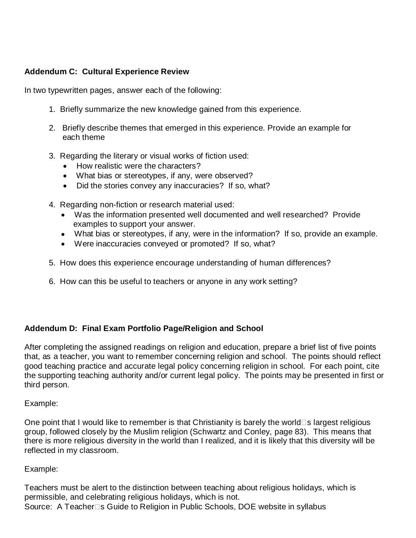# **Addendum C: Cultural Experience Review**

In two typewritten pages, answer each of the following:

- 1. Briefly summarize the new knowledge gained from this experience.
- 2. Briefly describe themes that emerged in this experience. Provide an example for each theme
- 3. Regarding the literary or visual works of fiction used:
	- How realistic were the characters?
	- What bias or stereotypes, if any, were observed?
	- Did the stories convey any inaccuracies? If so, what?
- 4. Regarding non-fiction or research material used:
	- Was the information presented well documented and well researched? Provide examples to support your answer.
	- What bias or stereotypes, if any, were in the information? If so, provide an example.
	- Were inaccuracies conveyed or promoted? If so, what?
- 5. How does this experience encourage understanding of human differences?
- 6. How can this be useful to teachers or anyone in any work setting?

# **Addendum D: Final Exam Portfolio Page/Religion and School**

After completing the assigned readings on religion and education, prepare a brief list of five points that, as a teacher, you want to remember concerning religion and school. The points should reflect good teaching practice and accurate legal policy concerning religion in school. For each point, cite the supporting teaching authority and/or current legal policy. The points may be presented in first or third person.

Example:

One point that I would like to remember is that Christianity is barely the world $\square$ s largest religious group, followed closely by the Muslim religion (Schwartz and Conley, page 83). This means that there is more religious diversity in the world than I realized, and it is likely that this diversity will be reflected in my classroom.

# Example:

Teachers must be alert to the distinction between teaching about religious holidays, which is permissible, and celebrating religious holidays, which is not. Source: A Teacher<sup>1</sup>s Guide to Religion in Public Schools, DOE website in syllabus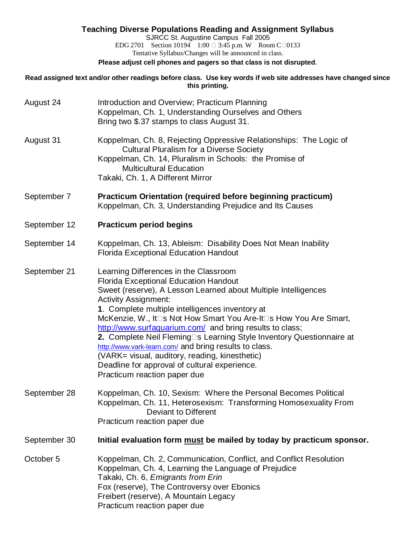# **Teaching Diverse Populations Reading and Assignment Syllabus** SJRCC St. Augustine Campus Fall 2005 EDG 2701 Section 10194 1:00  $\Box$  3:45 p.m. W Room C $\Box$ 0133 Tentative Syllabus/Changes will be announced in class. **Please adjust cell phones and pagers so that class is not disrupted**. **Read assigned text and/or other readings before class. Use key words if web site addresses have changed since this printing.** August 24 Introduction and Overview; Practicum Planning Koppelman, Ch. 1, Understanding Ourselves and Others Bring two \$.37 stamps to class August 31. August 31 Koppelman, Ch. 8, Rejecting Oppressive Relationships: The Logic of Cultural Pluralism for a Diverse Society Koppelman, Ch. 14, Pluralism in Schools: the Promise of Multicultural Education Takaki, Ch. 1, A Different Mirror September 7 **Practicum Orientation (required before beginning practicum)** Koppelman, Ch. 3, Understanding Prejudice and Its Causes September 12 **Practicum period begins** September 14 Koppelman, Ch. 13, Ableism: Disability Does Not Mean Inability Florida Exceptional Education Handout September 21 Learning Differences in the Classroom Florida Exceptional Education Handout Sweet (reserve), A Lesson Learned about Multiple Intelligences Activity Assignment: **1**. Complete multiple intelligences inventory at McKenzie, W., It<sup>I</sup>s Not How Smart You Are-It<sup>I</sup>s How You Are Smart, <http://www.surfaquarium.com/>and bring results to class; **2.** Complete Neil Fleming<sup>1</sup>s Learning Style Inventory Questionnaire at <http://www.vark-learn.com/> and bring results to class. (VARK= visual, auditory, reading, kinesthetic) Deadline for approval of cultural experience. Practicum reaction paper due September 28 Koppelman, Ch. 10, Sexism: Where the Personal Becomes Political Koppelman, Ch. 11, Heterosexism: Transforming Homosexuality From Deviant to Different Practicum reaction paper due September 30 **Initial evaluation form must be mailed by today by practicum sponsor.**

October 5 Koppelman, Ch. 2, Communication, Conflict, and Conflict Resolution Koppelman, Ch. 4, Learning the Language of Prejudice Takaki, Ch. 6, *Emigrants from Erin* Fox (reserve), The Controversy over Ebonics Freibert (reserve), A Mountain Legacy Practicum reaction paper due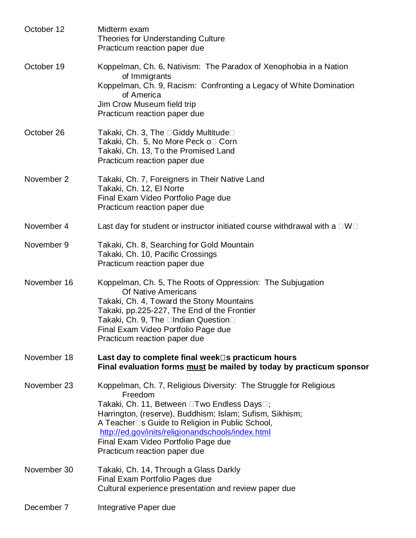| October 12  | Midterm exam<br><b>Theories for Understanding Culture</b><br>Practicum reaction paper due                                                                                                                                                                                                                                                                              |
|-------------|------------------------------------------------------------------------------------------------------------------------------------------------------------------------------------------------------------------------------------------------------------------------------------------------------------------------------------------------------------------------|
| October 19  | Koppelman, Ch. 6, Nativism: The Paradox of Xenophobia in a Nation<br>of Immigrants<br>Koppelman, Ch. 9, Racism: Confronting a Legacy of White Domination<br>of America<br>Jim Crow Museum field trip<br>Practicum reaction paper due                                                                                                                                   |
| October 26  | Takaki, Ch. 3, The □Giddy Multitude□<br>Takaki, Ch. 5, No More Peck o□ Corn<br>Takaki, Ch. 13, To the Promised Land<br>Practicum reaction paper due                                                                                                                                                                                                                    |
| November 2  | Takaki, Ch. 7, Foreigners in Their Native Land<br>Takaki, Ch. 12, El Norte<br>Final Exam Video Portfolio Page due<br>Practicum reaction paper due                                                                                                                                                                                                                      |
| November 4  | Last day for student or instructor initiated course withdrawal with a $\square W\square$                                                                                                                                                                                                                                                                               |
| November 9  | Takaki, Ch. 8, Searching for Gold Mountain<br>Takaki, Ch. 10, Pacific Crossings<br>Practicum reaction paper due                                                                                                                                                                                                                                                        |
| November 16 | Koppelman, Ch. 5, The Roots of Oppression: The Subjugation<br><b>Of Native Americans</b><br>Takaki, Ch. 4, Toward the Stony Mountains<br>Takaki, pp.225-227, The End of the Frontier<br>Takaki, Ch. 9, The □Indian Question□<br>Final Exam Video Portfolio Page due<br>Practicum reaction paper due                                                                    |
| November 18 | Last day to complete final week□s practicum hours<br>Final evaluation forms must be mailed by today by practicum sponsor                                                                                                                                                                                                                                               |
| November 23 | Koppelman, Ch. 7, Religious Diversity: The Struggle for Religious<br>Freedom<br>Takaki, Ch. 11, Between □Two Endless Days□;<br>Harrington, (reserve), Buddhism; Islam; Sufism, Sikhism;<br>A Teacher□s Guide to Religion in Public School,<br>http://ed.gov/inits/religionandschools/index.html<br>Final Exam Video Portfolio Page due<br>Practicum reaction paper due |
| November 30 | Takaki, Ch. 14, Through a Glass Darkly<br>Final Exam Portfolio Pages due<br>Cultural experience presentation and review paper due                                                                                                                                                                                                                                      |
| December 7  | Integrative Paper due                                                                                                                                                                                                                                                                                                                                                  |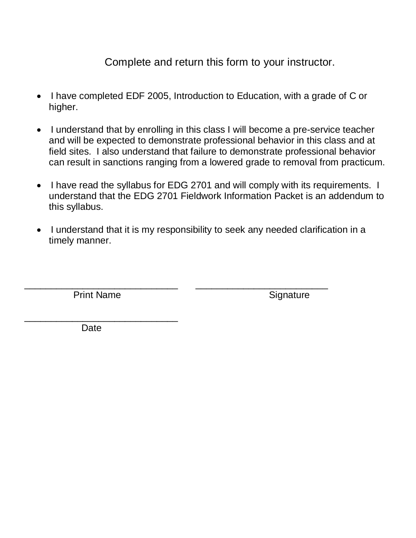Complete and return this form to your instructor.

- I have completed EDF 2005, Introduction to Education, with a grade of C or higher.
- I understand that by enrolling in this class I will become a pre-service teacher and will be expected to demonstrate professional behavior in this class and at field sites. I also understand that failure to demonstrate professional behavior can result in sanctions ranging from a lowered grade to removal from practicum.
- I have read the syllabus for EDG 2701 and will comply with its requirements. I understand that the EDG 2701 Fieldwork Information Packet is an addendum to this syllabus.
- I understand that it is my responsibility to seek any needed clarification in a timely manner.

\_\_\_\_\_\_\_\_\_\_\_\_\_\_\_\_\_\_\_\_\_\_\_\_\_\_\_\_\_ \_\_\_\_\_\_\_\_\_\_\_\_\_\_\_\_\_\_\_\_\_\_\_\_\_

Print Name Signature

\_\_\_\_\_\_\_\_\_\_\_\_\_\_\_\_\_\_\_\_\_\_\_\_\_\_\_\_\_

**Date**